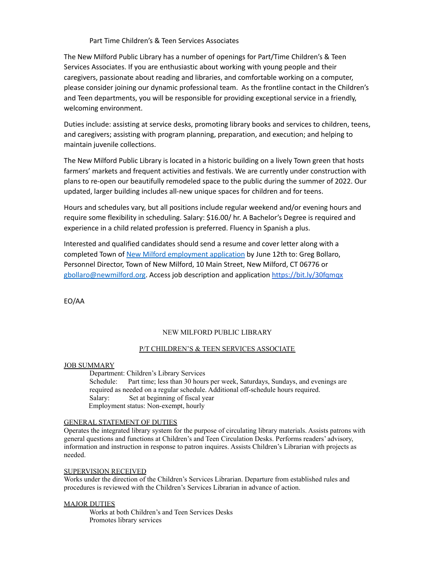# Part Time Children's & Teen Services Associates

The New Milford Public Library has a number of openings for Part/Time Children's & Teen Services Associates. If you are enthusiastic about working with young people and their caregivers, passionate about reading and libraries, and comfortable working on a computer, please consider joining our dynamic professional team. As the frontline contact in the Children's and Teen departments, you will be responsible for providing exceptional service in a friendly, welcoming environment.

Duties include: assisting at service desks, promoting library books and services to children, teens, and caregivers; assisting with program planning, preparation, and execution; and helping to maintain juvenile collections.

The New Milford Public Library is located in a historic building on a lively Town green that hosts farmers' markets and frequent activities and festivals. We are currently under construction with plans to re-open our beautifully remodeled space to the public during the summer of 2022. Our updated, larger building includes all-new unique spaces for children and for teens.

Hours and schedules vary, but all positions include regular weekend and/or evening hours and require some flexibility in scheduling. Salary: \$16.00/ hr. A Bachelor's Degree is required and experience in a child related profession is preferred. Fluency in Spanish a plus.

Interested and qualified candidates should send a resume and cover letter along with a completed Town of New Milford [employment](https://www.newmilford.org/filestorage/3088/3126/Employment_Applic._updated_Dec._2019.pdf) application by June 12th to: Greg Bollaro, Personnel Director, Town of New Milford, 10 Main Street, New Milford, CT 06776 or [gbollaro@newmilford.org](mailto:gbollaro@newmilford.org). Access job description and application <https://bit.ly/30fqmqx>

EO/AA

# NEW MILFORD PUBLIC LIBRARY

# P/T CHILDREN'S & TEEN SERVICES ASSOCIATE

#### JOB SUMMARY

Department: Children's Library Services Schedule: Part time; less than 30 hours per week, Saturdays, Sundays, and evenings are required as needed on a regular schedule. Additional off-schedule hours required. Salary: Set at beginning of fiscal year Employment status: Non-exempt, hourly

# GENERAL STATEMENT OF DUTIES

Operates the integrated library system for the purpose of circulating library materials. Assists patrons with general questions and functions at Children's and Teen Circulation Desks. Performs readers' advisory, information and instruction in response to patron inquires. Assists Children's Librarian with projects as needed.

#### SUPERVISION RECEIVED

Works under the direction of the Children's Services Librarian. Departure from established rules and procedures is reviewed with the Children's Services Librarian in advance of action.

# MAJOR DUTIES

Works at both Children's and Teen Services Desks Promotes library services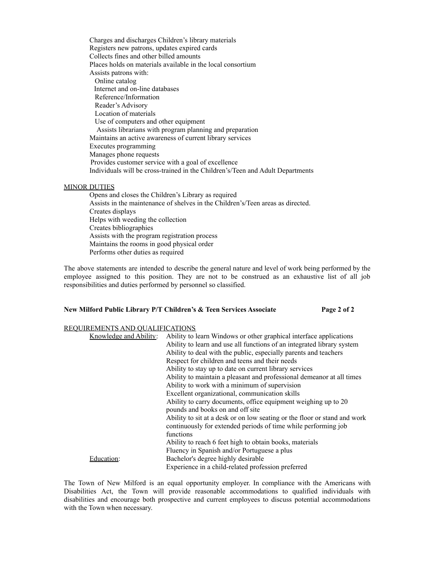Charges and discharges Children's library materials Registers new patrons, updates expired cards Collects fines and other billed amounts Places holds on materials available in the local consortium Assists patrons with: Online catalog Internet and on-line databases Reference/Information Reader's Advisory Location of materials Use of computers and other equipment Assists librarians with program planning and preparation Maintains an active awareness of current library services Executes programming Manages phone requests Provides customer service with a goal of excellence Individuals will be cross-trained in the Children's/Teen and Adult Departments

### MINOR DUTIES

Opens and closes the Children's Library as required Assists in the maintenance of shelves in the Children's/Teen areas as directed. Creates displays Helps with weeding the collection Creates bibliographies Assists with the program registration process Maintains the rooms in good physical order Performs other duties as required

The above statements are intended to describe the general nature and level of work being performed by the employee assigned to this position. They are not to be construed as an exhaustive list of all job responsibilities and duties performed by personnel so classified.

#### **New Milford Public Library P/T Children's & Teen Services Associate Page 2 of 2**

### REQUIREMENTS AND QUALIFICATIONS

| Knowledge and Ability: | Ability to learn Windows or other graphical interface applications        |
|------------------------|---------------------------------------------------------------------------|
|                        | Ability to learn and use all functions of an integrated library system    |
|                        | Ability to deal with the public, especially parents and teachers          |
|                        | Respect for children and teens and their needs                            |
|                        | Ability to stay up to date on current library services                    |
|                        | Ability to maintain a pleasant and professional demeanor at all times     |
|                        | Ability to work with a minimum of supervision                             |
|                        | Excellent organizational, communication skills                            |
|                        | Ability to carry documents, office equipment weighing up to 20            |
|                        | pounds and books on and off site                                          |
|                        | Ability to sit at a desk or on low seating or the floor or stand and work |
|                        | continuously for extended periods of time while performing job            |
|                        | functions                                                                 |
|                        | Ability to reach 6 feet high to obtain books, materials                   |
|                        | Fluency in Spanish and/or Portuguese a plus                               |
| Education:             | Bachelor's degree highly desirable                                        |
|                        | Experience in a child-related profession preferred                        |

The Town of New Milford is an equal opportunity employer. In compliance with the Americans with Disabilities Act, the Town will provide reasonable accommodations to qualified individuals with disabilities and encourage both prospective and current employees to discuss potential accommodations with the Town when necessary.